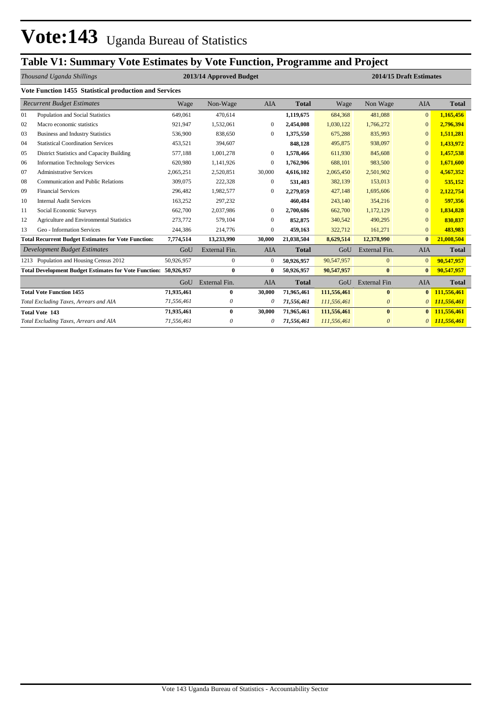## **Table V1: Summary Vote Estimates by Vote Function, Programme and Project**

|      | Thousand Uganda Shillings                                        |            | 2013/14 Approved Budget<br>2014/15 Draft Estimates |              |              |             |                       | <b>AIA</b><br>Non Wage<br>Wage<br>481,088<br>684,368<br>$\mathbf{0}$<br>1,030,122<br>1,766,272<br>$\mathbf{0}$<br>675,288<br>835,993<br>$\Omega$<br>495,875<br>938,097<br>$\Omega$<br>611,930<br>845,608<br>$\mathbf{0}$ |                 |  |  |
|------|------------------------------------------------------------------|------------|----------------------------------------------------|--------------|--------------|-------------|-----------------------|--------------------------------------------------------------------------------------------------------------------------------------------------------------------------------------------------------------------------|-----------------|--|--|
|      | Vote Function 1455 Statistical production and Services           |            |                                                    |              |              |             |                       |                                                                                                                                                                                                                          |                 |  |  |
|      | <b>Recurrent Budget Estimates</b>                                | Wage       | Non-Wage                                           | <b>AIA</b>   | <b>Total</b> |             |                       |                                                                                                                                                                                                                          | <b>Total</b>    |  |  |
| 01   | Population and Social Statistics                                 | 649,061    | 470,614                                            |              | 1,119,675    |             |                       |                                                                                                                                                                                                                          | 1,165,456       |  |  |
| 02   | Macro economic statistics                                        | 921,947    | 1,532,061                                          | $\mathbf{0}$ | 2,454,008    |             |                       |                                                                                                                                                                                                                          | 2,796,394       |  |  |
| 03   | <b>Business and Industry Statistics</b>                          | 536,900    | 838,650                                            | $\Omega$     | 1,375,550    |             |                       |                                                                                                                                                                                                                          | 1,511,281       |  |  |
| 04   | <b>Statistical Coordination Services</b>                         | 453,521    | 394,607                                            |              | 848,128      |             |                       |                                                                                                                                                                                                                          | 1,433,972       |  |  |
| 05   | <b>District Statistics and Capacity Building</b>                 | 577,188    | 1,001,278                                          | $\mathbf{0}$ | 1,578,466    |             |                       |                                                                                                                                                                                                                          | 1,457,538       |  |  |
| 06   | <b>Information Technology Services</b>                           | 620,980    | 1,141,926                                          | $\mathbf{0}$ | 1,762,906    | 688,101     | 983,500               | $\Omega$                                                                                                                                                                                                                 | 1,671,600       |  |  |
| 07   | <b>Administrative Services</b>                                   | 2,065,251  | 2,520,851                                          | 30,000       | 4,616,102    | 2,065,450   | 2,501,902             | $\mathbf{0}$                                                                                                                                                                                                             | 4,567,352       |  |  |
| 08   | Communication and Public Relations                               | 309,075    | 222,328                                            | $\mathbf{0}$ | 531,403      | 382,139     | 153,013               | $\mathbf{0}$                                                                                                                                                                                                             | 535,152         |  |  |
| 09   | <b>Financial Services</b>                                        | 296,482    | 1,982,577                                          | $\mathbf{0}$ | 2,279,059    | 427,148     | 1,695,606             | $\Omega$                                                                                                                                                                                                                 | 2,122,754       |  |  |
| 10   | <b>Internal Audit Services</b>                                   | 163,252    | 297,232                                            |              | 460,484      | 243,140     | 354,216               | $\overline{0}$                                                                                                                                                                                                           | 597,356         |  |  |
| 11   | Social Economic Surveys                                          | 662,700    | 2,037,986                                          | $\mathbf{0}$ | 2,700,686    | 662,700     | 1,172,129             | $\mathbf{0}$                                                                                                                                                                                                             | 1,834,828       |  |  |
| 12   | Agriculture and Environmental Statistics                         | 273,772    | 579,104                                            | $\mathbf{0}$ | 852,875      | 340,542     | 490,295               | $\Omega$                                                                                                                                                                                                                 | 830,837         |  |  |
| 13   | Geo - Information Services                                       | 244,386    | 214,776                                            | $\mathbf{0}$ | 459,163      | 322,712     | 161,271               | $\mathbf{0}$                                                                                                                                                                                                             | 483,983         |  |  |
|      | <b>Total Recurrent Budget Estimates for Vote Function:</b>       | 7,774,514  | 13,233,990                                         | 30,000       | 21,038,504   | 8,629,514   | 12,378,990            | $\bf{0}$                                                                                                                                                                                                                 | 21,008,504      |  |  |
|      | Development Budget Estimates                                     | GoU        | External Fin.                                      | <b>AIA</b>   | <b>Total</b> | GoU         | External Fin.         | <b>AIA</b>                                                                                                                                                                                                               | <b>Total</b>    |  |  |
| 1213 | Population and Housing Census 2012                               | 50,926,957 | $\mathbf{0}$                                       | $\mathbf{0}$ | 50,926,957   | 90,547,957  | $\mathbf{0}$          | $\mathbf{0}$                                                                                                                                                                                                             | 90,547,957      |  |  |
|      | Total Development Budget Estimates for Vote Function: 50,926,957 |            | $\bf{0}$                                           | $\bf{0}$     | 50.926.957   | 90,547,957  | $\bf{0}$              | $\bf{0}$                                                                                                                                                                                                                 | 90,547,957      |  |  |
|      |                                                                  | GoU        | External Fin.                                      | <b>AIA</b>   | <b>Total</b> | GoU         | <b>External Fin</b>   | <b>AIA</b>                                                                                                                                                                                                               | <b>Total</b>    |  |  |
|      | <b>Total Vote Function 1455</b>                                  | 71,935,461 | $\bf{0}$                                           | 30,000       | 71,965,461   | 111,556,461 | $\bf{0}$              | $\bf{0}$                                                                                                                                                                                                                 | 111,556,461     |  |  |
|      | Total Excluding Taxes, Arrears and AIA                           | 71,556,461 | $\boldsymbol{\theta}$                              | 0            | 71,556,461   | 111,556,461 | $\boldsymbol{\theta}$ | 0                                                                                                                                                                                                                        | 111,556,461     |  |  |
|      | <b>Total Vote 143</b>                                            | 71,935,461 | $\bf{0}$                                           | 30,000       | 71,965,461   | 111,556,461 | $\mathbf{0}$          | $\mathbf{0}$                                                                                                                                                                                                             | 111,556,461     |  |  |
|      | Total Excluding Taxes, Arrears and AIA                           | 71,556,461 | 0                                                  | 0            | 71,556,461   | 111,556,461 | $\theta$              |                                                                                                                                                                                                                          | $0$ 111,556,461 |  |  |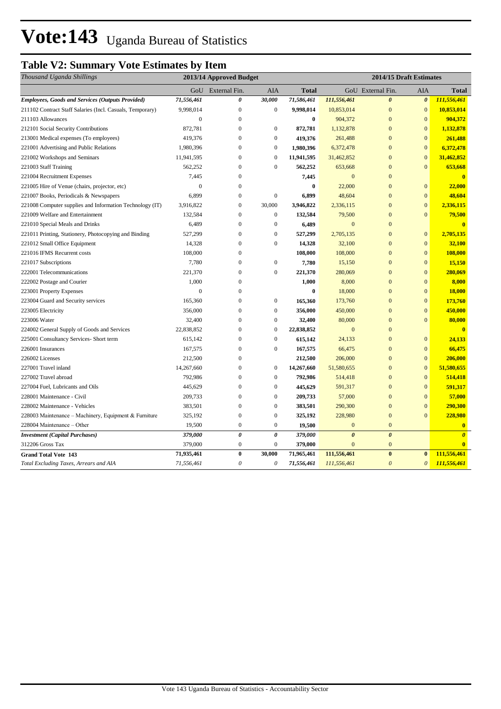## **Table V2: Summary Vote Estimates by Item**

| Thousand Uganda Shillings                                 |                  | 2013/14 Approved Budget   |                       |              |                       | 2014/15 Draft Estimates |                       |                       |
|-----------------------------------------------------------|------------------|---------------------------|-----------------------|--------------|-----------------------|-------------------------|-----------------------|-----------------------|
|                                                           | GoU              | External Fin.             | AIA                   | <b>Total</b> |                       | GoU External Fin.       | AIA                   | <b>Total</b>          |
| <b>Employees, Goods and Services (Outputs Provided)</b>   | 71,556,461       | 0                         | 30,000                | 71,586,461   | 111,556,461           | $\boldsymbol{\theta}$   | $\boldsymbol{\theta}$ | 111,556,461           |
| 211102 Contract Staff Salaries (Incl. Casuals, Temporary) | 9,998,014        | $\mathbf{0}$              | $\mathbf{0}$          | 9,998,014    | 10,853,014            | $\mathbf{0}$            | $\mathbf{0}$          | 10,853,014            |
| 211103 Allowances                                         | $\boldsymbol{0}$ | $\boldsymbol{0}$          |                       | $\bf{0}$     | 904,372               | $\mathbf{0}$            | $\mathbf{0}$          | 904,372               |
| 212101 Social Security Contributions                      | 872,781          | $\overline{0}$            | $\boldsymbol{0}$      | 872,781      | 1,132,878             | $\overline{0}$          | $\overline{0}$        | 1,132,878             |
| 213001 Medical expenses (To employees)                    | 419,376          | $\overline{0}$            | $\boldsymbol{0}$      | 419,376      | 261,488               | $\overline{0}$          | $\overline{0}$        | 261,488               |
| 221001 Advertising and Public Relations                   | 1,980,396        | $\overline{0}$            | $\boldsymbol{0}$      | 1,980,396    | 6,372,478             | $\overline{0}$          | $\overline{0}$        | 6,372,478             |
| 221002 Workshops and Seminars                             | 11,941,595       | $\mathbf{0}$              | $\boldsymbol{0}$      | 11,941,595   | 31,462,852            | $\mathbf{0}$            | $\mathbf{0}$          | 31,462,852            |
| 221003 Staff Training                                     | 562,252          | $\boldsymbol{0}$          | $\boldsymbol{0}$      | 562,252      | 653,668               | $\mathbf{0}$            | $\bf{0}$              | 653,668               |
| 221004 Recruitment Expenses                               | 7,445            | 0                         |                       | 7,445        | $\mathbf{0}$          | $\overline{0}$          |                       | $\mathbf{0}$          |
| 221005 Hire of Venue (chairs, projector, etc)             | $\boldsymbol{0}$ | $\mathbf{0}$              |                       | $\bf{0}$     | 22,000                | $\overline{0}$          | $\mathbf{0}$          | 22,000                |
| 221007 Books, Periodicals & Newspapers                    | 6,899            | $\mathbf{0}$              | $\boldsymbol{0}$      | 6,899        | 48,604                | $\overline{0}$          | $\overline{0}$        | 48,604                |
| 221008 Computer supplies and Information Technology (IT)  | 3,916,822        | $\boldsymbol{0}$          | 30,000                | 3,946,822    | 2,336,115             | $\mathbf{0}$            | $\mathbf{0}$          | 2,336,115             |
| 221009 Welfare and Entertainment                          | 132,584          | 0                         | $\mathbf{0}$          | 132,584      | 79,500                | $\overline{0}$          | $\mathbf{0}$          | 79,500                |
| 221010 Special Meals and Drinks                           | 6,489            | $\overline{0}$            | $\boldsymbol{0}$      | 6,489        | $\mathbf{0}$          | $\overline{0}$          |                       | $\overline{0}$        |
| 221011 Printing, Stationery, Photocopying and Binding     | 527,299          | $\boldsymbol{0}$          | $\boldsymbol{0}$      | 527,299      | 2,705,135             | $\overline{0}$          | $\mathbf{0}$          | 2,705,135             |
| 221012 Small Office Equipment                             | 14,328           | $\overline{0}$            | $\boldsymbol{0}$      | 14,328       | 32,100                | $\overline{0}$          | $\mathbf{0}$          | 32,100                |
| 221016 IFMS Recurrent costs                               | 108,000          | $\boldsymbol{0}$          |                       | 108,000      | 108,000               | $\mathbf{0}$            | $\mathbf{0}$          | 108,000               |
| 221017 Subscriptions                                      | 7,780            | $\overline{0}$            | $\boldsymbol{0}$      | 7,780        | 15,150                | $\overline{0}$          | $\overline{0}$        | 15,150                |
| 222001 Telecommunications                                 | 221,370          | $\overline{0}$            | $\boldsymbol{0}$      | 221,370      | 280,069               | $\overline{0}$          | $\overline{0}$        | 280,069               |
| 222002 Postage and Courier                                | 1,000            | $\mathbf{0}$              |                       | 1,000        | 8,000                 | $\mathbf{0}$            | $\mathbf{0}$          | 8,000                 |
| 223001 Property Expenses                                  | $\mathbf{0}$     | $\mathbf{0}$              |                       | $\bf{0}$     | 18,000                | $\overline{0}$          | $\mathbf{0}$          | 18,000                |
| 223004 Guard and Security services                        | 165,360          | $\mathbf{0}$              | $\boldsymbol{0}$      | 165,360      | 173,760               | $\overline{0}$          | $\overline{0}$        | 173,760               |
| 223005 Electricity                                        | 356,000          | $\overline{0}$            | $\boldsymbol{0}$      | 356,000      | 450,000               | $\overline{0}$          | $\mathbf{0}$          | 450,000               |
| 223006 Water                                              | 32,400           | $\overline{0}$            | $\boldsymbol{0}$      | 32,400       | 80,000                | $\overline{0}$          | $\overline{0}$        | 80,000                |
| 224002 General Supply of Goods and Services               | 22,838,852       | $\overline{0}$            | $\boldsymbol{0}$      | 22,838,852   | $\mathbf{0}$          | $\overline{0}$          |                       | $\overline{0}$        |
| 225001 Consultancy Services- Short term                   | 615,142          | $\boldsymbol{0}$          | $\boldsymbol{0}$      | 615,142      | 24,133                | $\overline{0}$          | $\mathbf{0}$          | 24,133                |
| 226001 Insurances                                         | 167,575          | $\boldsymbol{0}$          | $\boldsymbol{0}$      | 167,575      | 66,475                | $\mathbf{0}$            | $\mathbf{0}$          | 66,475                |
| 226002 Licenses                                           | 212,500          | $\boldsymbol{0}$          |                       | 212,500      | 206,000               | $\mathbf{0}$            | $\mathbf{0}$          | 206,000               |
| 227001 Travel inland                                      | 14,267,660       | $\overline{0}$            | $\mathbf{0}$          | 14,267,660   | 51,580,655            | $\overline{0}$          | $\mathbf{0}$          | 51,580,655            |
| 227002 Travel abroad                                      | 792,986          | $\mathbf{0}$              | $\boldsymbol{0}$      | 792,986      | 514,418               | $\overline{0}$          | $\overline{0}$        | 514,418               |
| 227004 Fuel, Lubricants and Oils                          | 445,629          | $\Omega$                  | $\mathbf{0}$          | 445,629      | 591,317               | $\overline{0}$          | $\overline{0}$        | 591,317               |
| 228001 Maintenance - Civil                                | 209,733          | $\boldsymbol{0}$          | $\boldsymbol{0}$      | 209,733      | 57,000                | $\mathbf{0}$            | $\mathbf{0}$          | 57,000                |
| 228002 Maintenance - Vehicles                             | 383,501          | $\boldsymbol{0}$          | $\boldsymbol{0}$      | 383,501      | 290,300               | $\mathbf{0}$            | $\boldsymbol{0}$      | 290,300               |
| 228003 Maintenance - Machinery, Equipment & Furniture     | 325,192          | $\boldsymbol{0}$          | $\boldsymbol{0}$      | 325,192      | 228,980               | $\overline{0}$          | $\overline{0}$        | 228,980               |
| 228004 Maintenance - Other                                | 19,500           | $\boldsymbol{0}$          | $\boldsymbol{0}$      | 19,500       | $\mathbf{0}$          | $\mathbf{0}$            |                       | $\bf{0}$              |
| <b>Investment</b> (Capital Purchases)                     | 379,000          | $\boldsymbol{\theta}$     | $\pmb{\theta}$        | 379,000      | $\boldsymbol{\theta}$ | $\boldsymbol{\theta}$   |                       | $\boldsymbol{\theta}$ |
| 312206 Gross Tax                                          | 379,000          | $\boldsymbol{0}$          | $\boldsymbol{0}$      | 379,000      | $\mathbf{0}$          | $\boldsymbol{0}$        |                       | $\bf{0}$              |
| <b>Grand Total Vote 143</b>                               | 71,935,461       | $\bf{0}$                  | 30,000                | 71,965,461   | 111,556,461           | $\bf{0}$                | $\bf{0}$              | 111,556,461           |
| Total Excluding Taxes, Arrears and AIA                    | 71,556,461       | $\boldsymbol{\mathit{0}}$ | $\boldsymbol{\theta}$ | 71,556,461   | 111,556,461           | $\mathfrak{o}$          | $\boldsymbol{\theta}$ | 111,556,461           |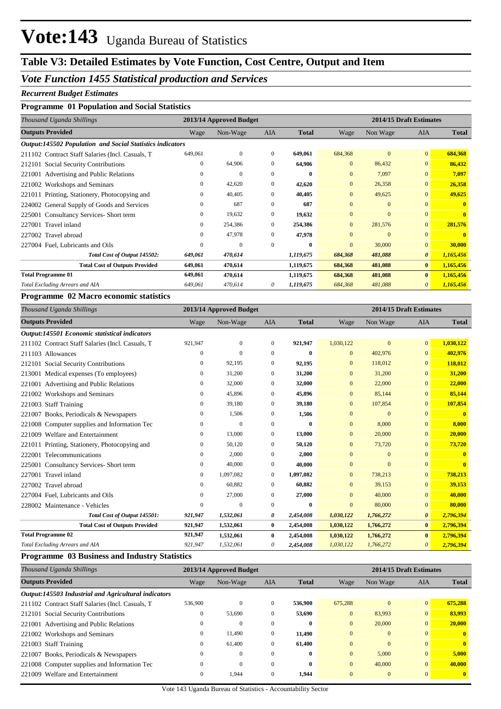## **Table V3: Detailed Estimates by Vote Function, Cost Centre, Output and Item**

## *Vote Function 1455 Statistical production and Services*

#### *Recurrent Budget Estimates*

## **Programme 01 Population and Social Statistics**

| Thousand Uganda Shillings                                        |          | 2013/14 Approved Budget |              |              |                | 2014/15 Draft Estimates |                       |              |
|------------------------------------------------------------------|----------|-------------------------|--------------|--------------|----------------|-------------------------|-----------------------|--------------|
| <b>Outputs Provided</b>                                          | Wage     | Non-Wage                | <b>AIA</b>   | <b>Total</b> | Wage           | Non Wage                | <b>AIA</b>            | <b>Total</b> |
| <b>Output:145502 Population and Social Statistics indicators</b> |          |                         |              |              |                |                         |                       |              |
| 211102 Contract Staff Salaries (Incl. Casuals, T.                | 649,061  | $\mathbf{0}$            | $\mathbf{0}$ | 649,061      | 684,368        | $\mathbf{0}$            | $\mathbf{0}$          | 684,368      |
| 212101 Social Security Contributions                             | 0        | 64,906                  | $\mathbf{0}$ | 64,906       | $\overline{0}$ | 86,432                  | $\overline{0}$        | 86,432       |
| 221001 Advertising and Public Relations                          | $\Omega$ | $\mathbf{0}$            | $\Omega$     | $\mathbf{0}$ | $\overline{0}$ | 7,097                   | $\mathbf{0}$          | 7,097        |
| Workshops and Seminars<br>221002                                 | 0        | 42,620                  | $\mathbf{0}$ | 42,620       | $\overline{0}$ | 26,358                  | $\mathbf{0}$          | 26,358       |
| 221011 Printing, Stationery, Photocopying and                    | 0        | 40,405                  | $\Omega$     | 40,405       | $\overline{0}$ | 49,625                  | $\mathbf{0}$          | 49,625       |
| 224002 General Supply of Goods and Services                      | $\theta$ | 687                     | $\mathbf{0}$ | 687          | $\overline{0}$ | $\mathbf{0}$            | $\Omega$              | $\mathbf{0}$ |
| 225001 Consultancy Services-Short term                           | $\Omega$ | 19,632                  | $\Omega$     | 19,632       | $\Omega$       | $\Omega$                | $\Omega$              | $\mathbf{0}$ |
| 227001 Travel inland                                             | $\Omega$ | 254,386                 | $\Omega$     | 254,386      | $\mathbf{0}$   | 281,576                 | $\mathbf{0}$          | 281,576      |
| 227002 Travel abroad                                             | 0        | 47,978                  | $\mathbf{0}$ | 47,978       | $\overline{0}$ | $\mathbf{0}$            | $\mathbf{0}$          |              |
| 227004 Fuel, Lubricants and Oils                                 | 0        | $\mathbf{0}$            | $\Omega$     | 0            | $\overline{0}$ | 30,000                  | $\mathbf{0}$          | 30,000       |
| Total Cost of Output 145502:                                     | 649,061  | 470,614                 |              | 1,119,675    | 684,368        | 481,088                 | $\boldsymbol{\theta}$ | 1,165,456    |
| <b>Total Cost of Outputs Provided</b>                            | 649,061  | 470,614                 |              | 1,119,675    | 684,368        | 481,088                 | $\bf{0}$              | 1,165,456    |
| <b>Total Programme 01</b>                                        | 649,061  | 470,614                 |              | 1,119,675    | 684,368        | 481,088                 | $\mathbf{0}$          | 1,165,456    |
| Total Excluding Arrears and AIA                                  | 649,061  | 470,614                 | 0            | 1,119,675    | 684,368        | 481,088                 | 0                     | 1,165,456    |

#### **Programme 02 Macro economic statistics**

| Thousand Uganda Shillings                        |                | 2013/14 Approved Budget |              |              |              | 2014/15 Draft Estimates |                       |              |
|--------------------------------------------------|----------------|-------------------------|--------------|--------------|--------------|-------------------------|-----------------------|--------------|
| <b>Outputs Provided</b>                          | Wage           | Non-Wage                | <b>AIA</b>   | <b>Total</b> | Wage         | Non Wage                | <b>AIA</b>            | <b>Total</b> |
| Output:145501 Economic statistical indicators    |                |                         |              |              |              |                         |                       |              |
| 211102 Contract Staff Salaries (Incl. Casuals, T | 921,947        | $\mathbf{0}$            | $\mathbf{0}$ | 921,947      | 1,030,122    | $\overline{0}$          | $\overline{0}$        | 1,030,122    |
| 211103 Allowances                                | $\overline{0}$ | $\Omega$                | $\Omega$     | $\bf{0}$     | $\mathbf{0}$ | 402,976                 | $\Omega$              | 402,976      |
| 212101 Social Security Contributions             | $\overline{0}$ | 92,195                  | $\mathbf{0}$ | 92,195       | $\mathbf{0}$ | 118,012                 | $\mathbf{0}$          | 118,012      |
| 213001 Medical expenses (To employees)           | 0              | 31,200                  | $\mathbf{0}$ | 31,200       | $\mathbf{0}$ | 31,200                  | $\mathbf{0}$          | 31,200       |
| 221001 Advertising and Public Relations          | 0              | 32,000                  | $\Omega$     | 32,000       | $\mathbf{0}$ | 22,000                  | $\mathbf{0}$          | 22,000       |
| 221002 Workshops and Seminars                    | 0              | 45,896                  | $\Omega$     | 45,896       | $\Omega$     | 85,144                  | $\Omega$              | 85,144       |
| 221003 Staff Training                            | 0              | 39,180                  | $\Omega$     | 39,180       | $\mathbf{0}$ | 107,854                 | $\mathbf{0}$          | 107,854      |
| 221007 Books, Periodicals & Newspapers           | 0              | 1,506                   | $\Omega$     | 1,506        | $\Omega$     | $\Omega$                | $\Omega$              |              |
| 221008 Computer supplies and Information Tec     | 0              | $\Omega$                | $\Omega$     | 0            | $\Omega$     | 8,000                   | $\Omega$              | 8,000        |
| 221009 Welfare and Entertainment                 | 0              | 13,000                  | $\mathbf{0}$ | 13,000       | $\mathbf{0}$ | 20,000                  | $\mathbf{0}$          | 20,000       |
| 221011 Printing, Stationery, Photocopying and    | 0              | 50,120                  | $\mathbf{0}$ | 50,120       | $\mathbf{0}$ | 73,720                  | $\mathbf{0}$          | 73,720       |
| 222001 Telecommunications                        | 0              | 2,000                   | $\Omega$     | 2,000        | $\Omega$     | $\mathbf{0}$            | $\overline{0}$        |              |
| 225001 Consultancy Services- Short term          | 0              | 40,000                  | $\Omega$     | 40,000       | $\Omega$     | $\Omega$                | $\Omega$              | $\mathbf{0}$ |
| Travel inland<br>227001                          | 0              | 1,097,082               | $\Omega$     | 1,097,082    | $\Omega$     | 738,213                 | $\overline{0}$        | 738,213      |
| 227002 Travel abroad                             | 0              | 60,882                  | $\mathbf{0}$ | 60,882       | $\mathbf{0}$ | 39,153                  | $\mathbf{0}$          | 39,153       |
| 227004 Fuel, Lubricants and Oils                 | 0              | 27,000                  | $\Omega$     | 27,000       | $\mathbf{0}$ | 40,000                  | $\mathbf{0}$          | 40,000       |
| 228002 Maintenance - Vehicles                    | $\Omega$       | $\Omega$                | $\Omega$     | $\bf{0}$     | $\Omega$     | 80,000                  | $\mathbf{0}$          | 80,000       |
| Total Cost of Output 145501:                     | 921,947        | 1,532,061               | 0            | 2,454,008    | 1,030,122    | 1,766,272               | $\boldsymbol{\theta}$ | 2,796,394    |
| <b>Total Cost of Outputs Provided</b>            | 921,947        | 1,532,061               | $\bf{0}$     | 2,454,008    | 1,030,122    | 1,766,272               | $\mathbf{0}$          | 2,796,394    |
| <b>Total Programme 02</b>                        | 921,947        | 1,532,061               | $\bf{0}$     | 2,454,008    | 1,030,122    | 1,766,272               | $\mathbf{0}$          | 2,796,394    |
| Total Excluding Arrears and AIA                  | 921,947        | 1,532,061               | 0            | 2,454,008    | 1,030,122    | 1,766,272               | 0                     | 2,796,394    |

### **Programme 03 Business and Industry Statistics**

| Thousand Uganda Shillings                            |              | 2013/14 Approved Budget |              |              |              |                | 2014/15 Draft Estimates |              |
|------------------------------------------------------|--------------|-------------------------|--------------|--------------|--------------|----------------|-------------------------|--------------|
| <b>Outputs Provided</b>                              | Wage         | Non-Wage                | <b>AIA</b>   | <b>Total</b> | Wage         | Non Wage       | <b>AIA</b>              | <b>Total</b> |
| Output:145503 Industrial and Agricultural indicators |              |                         |              |              |              |                |                         |              |
| 211102 Contract Staff Salaries (Incl. Casuals, T.    | 536,900      | $\mathbf{0}$            | $\mathbf{0}$ | 536,900      | 675,288      | $\mathbf{0}$   | $\overline{0}$          | 675,288      |
| 212101 Social Security Contributions                 | $\mathbf{0}$ | 53,690                  | $\Omega$     | 53,690       | $\mathbf{0}$ | 83,993         | $\overline{0}$          | 83,993       |
| 221001 Advertising and Public Relations              | 0            | $\Omega$                | $\Omega$     | $\mathbf{0}$ | $\mathbf{0}$ | 20,000         | $\overline{0}$          | 20,000       |
| 221002 Workshops and Seminars                        | $\mathbf{0}$ | 11.490                  | $\Omega$     | 11,490       | $\Omega$     | $\overline{0}$ | $\overline{0}$          | $\mathbf{0}$ |
| 221003 Staff Training                                | 0            | 61,400                  | $\mathbf{0}$ | 61,400       | $\Omega$     | $\Omega$       | $\overline{0}$          | $\mathbf{0}$ |
| 221007 Books, Periodicals & Newspapers               | $\Omega$     | $\mathbf{0}$            | $\Omega$     | $\bf{0}$     | $\Omega$     | 5,000          | $\overline{0}$          | 5,000        |
| 221008 Computer supplies and Information Tec         | $\mathbf{0}$ | $\mathbf{0}$            | $\Omega$     | $\bf{0}$     | $\Omega$     | 40,000         | $\overline{0}$          | 40,000       |
| 221009 Welfare and Entertainment                     | $\mathbf{0}$ | 1.944                   | $\Omega$     | 1.944        | $\Omega$     | $\mathbf{0}$   | $\overline{0}$          | $\mathbf{0}$ |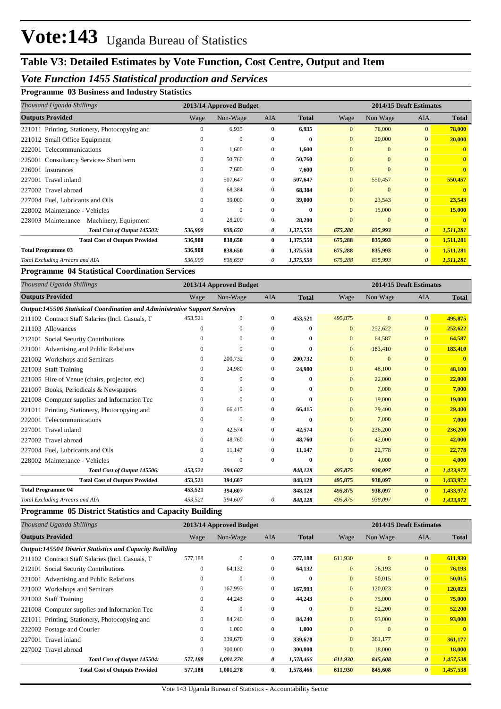## **Table V3: Detailed Estimates by Vote Function, Cost Centre, Output and Item**

## *Vote Function 1455 Statistical production and Services*

### **Programme 03 Business and Industry Statistics**

| Thousand Uganda Shillings                     |              | 2013/14 Approved Budget |              |              |                | 2014/15 Draft Estimates |                       |              |
|-----------------------------------------------|--------------|-------------------------|--------------|--------------|----------------|-------------------------|-----------------------|--------------|
| <b>Outputs Provided</b>                       | Wage         | Non-Wage                | <b>AIA</b>   | <b>Total</b> | Wage           | Non Wage                | <b>AIA</b>            | <b>Total</b> |
| 221011 Printing, Stationery, Photocopying and | $\mathbf{0}$ | 6,935                   | $\mathbf{0}$ | 6,935        | $\overline{0}$ | 78,000                  | $\overline{0}$        | 78,000       |
| 221012 Small Office Equipment                 | $\Omega$     | $\theta$                | $\mathbf{0}$ | $\bf{0}$     | $\overline{0}$ | 20,000                  | $\overline{0}$        | 20,000       |
| 222001 Telecommunications                     | $\mathbf{0}$ | 1,600                   | $\mathbf{0}$ | 1,600        | $\overline{0}$ | $\overline{0}$          | $\overline{0}$        | $\mathbf{0}$ |
| 225001 Consultancy Services-Short term        | 0            | 50,760                  | $\mathbf{0}$ | 50,760       | $\overline{0}$ | $\mathbf{0}$            | $\overline{0}$        | $\mathbf{0}$ |
| 226001 Insurances                             | 0            | 7,600                   | $\mathbf{0}$ | 7,600        | $\overline{0}$ | $\mathbf{0}$            | $\overline{0}$        | $\mathbf{0}$ |
| 227001 Travel inland                          | $\Omega$     | 507,647                 | $\mathbf{0}$ | 507,647      | $\overline{0}$ | 550,457                 | $\overline{0}$        | 550,457      |
| 227002 Travel abroad                          | $\Omega$     | 68,384                  | $\Omega$     | 68,384       | $\Omega$       | $\Omega$                | $\overline{0}$        | $\mathbf{0}$ |
| 227004 Fuel, Lubricants and Oils              | $\Omega$     | 39,000                  | $\Omega$     | 39,000       | $\overline{0}$ | 23,543                  | $\overline{0}$        | 23,543       |
| 228002 Maintenance - Vehicles                 | $\theta$     | $\mathbf{0}$            | $\Omega$     | $\bf{0}$     | $\overline{0}$ | 15,000                  | $\overline{0}$        | 15,000       |
| 228003 Maintenance - Machinery, Equipment     | $\Omega$     | 28,200                  | $\Omega$     | 28,200       | $\Omega$       | $\Omega$                | $\overline{0}$        | $\mathbf{0}$ |
| Total Cost of Output 145503:                  | 536,900      | 838,650                 | 0            | 1,375,550    | 675,288        | 835,993                 | $\boldsymbol{\theta}$ | 1,511,281    |
| <b>Total Cost of Outputs Provided</b>         | 536,900      | 838,650                 | $\bf{0}$     | 1,375,550    | 675,288        | 835,993                 | $\bf{0}$              | 1,511,281    |
| <b>Total Programme 03</b>                     | 536,900      | 838,650                 | $\mathbf{0}$ | 1,375,550    | 675,288        | 835,993                 | $\bf{0}$              | 1,511,281    |
| Total Excluding Arrears and AIA               | 536,900      | 838,650                 | 0            | 1,375,550    | 675,288        | 835,993                 | 0                     | 1,511,281    |

### **Programme 04 Statistical Coordination Services**

| Thousand Uganda Shillings                                                         |          | 2013/14 Approved Budget |              |              | 2014/15 Draft Estimates |              |                       |              |
|-----------------------------------------------------------------------------------|----------|-------------------------|--------------|--------------|-------------------------|--------------|-----------------------|--------------|
| <b>Outputs Provided</b>                                                           | Wage     | Non-Wage                | <b>AIA</b>   | <b>Total</b> | Wage                    | Non Wage     | <b>AIA</b>            | <b>Total</b> |
| <b>Output:145506 Statistical Coordination and Administrative Support Services</b> |          |                         |              |              |                         |              |                       |              |
| 211102 Contract Staff Salaries (Incl. Casuals, T.                                 | 453,521  | $\Omega$                | $\Omega$     | 453,521      | 495,875                 | $\Omega$     | $\overline{0}$        | 495,875      |
| 211103 Allowances                                                                 | 0        | $\mathbf{0}$            | $\theta$     | 0            | $\mathbf{0}$            | 252,622      | $\mathbf{0}$          | 252,622      |
| 212101 Social Security Contributions                                              | 0        | $\overline{0}$          | $\mathbf{0}$ | 0            | $\mathbf{0}$            | 64,587       | $\mathbf{0}$          | 64,587       |
| 221001 Advertising and Public Relations                                           | 0        | $\Omega$                | $\Omega$     | 0            | $\Omega$                | 183,410      | $\Omega$              | 183,410      |
| 221002 Workshops and Seminars                                                     | 0        | 200,732                 | $\theta$     | 200,732      | $\Omega$                | $\mathbf{0}$ | $\Omega$              | $\mathbf{0}$ |
| 221003 Staff Training                                                             | 0        | 24,980                  | 0            | 24,980       | $\mathbf{0}$            | 48,100       | $\mathbf{0}$          | 48,100       |
| 221005 Hire of Venue (chairs, projector, etc)                                     | 0        | $\Omega$                | $\Omega$     | 0            | $\Omega$                | 22,000       | $\Omega$              | 22,000       |
| 221007 Books, Periodicals & Newspapers                                            | 0        | $\overline{0}$          | $\mathbf{0}$ | 0            | $\mathbf{0}$            | 7,000        | $\mathbf{0}$          | 7,000        |
| 221008 Computer supplies and Information Tec                                      | 0        | $\mathbf{0}$            | $\mathbf{0}$ | 0            | $\mathbf{0}$            | 19,000       | $\mathbf{0}$          | 19,000       |
| 221011 Printing, Stationery, Photocopying and                                     | $^{(1)}$ | 66,415                  | $\Omega$     | 66,415       | $\Omega$                | 29,400       | $\Omega$              | 29,400       |
| 222001 Telecommunications                                                         | 0        | $\Omega$                | $\Omega$     | 0            | $\Omega$                | 7,000        | $\mathbf{0}$          | 7,000        |
| 227001 Travel inland                                                              | 0        | 42,574                  | $\mathbf{0}$ | 42,574       | $\mathbf{0}$            | 236,200      | $\mathbf{0}$          | 236,200      |
| 227002 Travel abroad                                                              | $\Omega$ | 48,760                  | $\Omega$     | 48,760       | $\Omega$                | 42,000       | $\Omega$              | 42,000       |
| 227004 Fuel, Lubricants and Oils                                                  | $^{(1)}$ | 11,147                  | $\mathbf{0}$ | 11,147       | $\Omega$                | 22,778       | $\Omega$              | 22,778       |
| 228002 Maintenance - Vehicles                                                     | 0        | $\mathbf{0}$            | $\theta$     | 0            | $\mathbf{0}$            | 4,000        | $\Omega$              | 4,000        |
| Total Cost of Output 145506:                                                      | 453,521  | 394,607                 |              | 848,128      | 495,875                 | 938,097      | $\boldsymbol{\theta}$ | 1,433,972    |
| <b>Total Cost of Outputs Provided</b>                                             | 453,521  | 394,607                 |              | 848,128      | 495,875                 | 938,097      | $\mathbf{0}$          | 1,433,972    |
| <b>Total Programme 04</b>                                                         | 453,521  | 394,607                 |              | 848,128      | 495,875                 | 938,097      | $\bf{0}$              | 1,433,972    |
| Total Excluding Arrears and AIA                                                   | 453,521  | 394,607                 | 0            | 848,128      | 495,875                 | 938,097      | 0                     | 1,433,972    |

### **Programme 05 District Statistics and Capacity Building**

| Thousand Uganda Shillings                                      |              | 2013/14 Approved Budget |              |              |                |                | 2014/15 Draft Estimates |              |
|----------------------------------------------------------------|--------------|-------------------------|--------------|--------------|----------------|----------------|-------------------------|--------------|
| <b>Outputs Provided</b>                                        | Wage         | Non-Wage                | AIA          | <b>Total</b> | Wage           | Non Wage       | <b>AIA</b>              | <b>Total</b> |
| <b>Output:145504 District Statistics and Capacity Building</b> |              |                         |              |              |                |                |                         |              |
| 211102 Contract Staff Salaries (Incl. Casuals, T               | 577,188      | $\mathbf{0}$            | 0            | 577,188      | 611,930        | $\overline{0}$ | $\overline{0}$          | 611,930      |
| 212101 Social Security Contributions                           | $\mathbf{0}$ | 64,132                  | $\mathbf{0}$ | 64,132       | $\overline{0}$ | 76,193         | $\overline{0}$          | 76,193       |
| 221001 Advertising and Public Relations                        | 0            | $\Omega$                | $\Omega$     | $\bf{0}$     | $\overline{0}$ | 50,015         | $\overline{0}$          | 50,015       |
| 221002 Workshops and Seminars                                  | $\mathbf{0}$ | 167,993                 | $\mathbf{0}$ | 167,993      | $\overline{0}$ | 120,023        | $\overline{0}$          | 120,023      |
| 221003 Staff Training                                          | $\mathbf{0}$ | 44,243                  | $\mathbf{0}$ | 44,243       | $\overline{0}$ | 75,000         | $\overline{0}$          | 75,000       |
| 221008 Computer supplies and Information Tec                   | $\mathbf{0}$ | $\mathbf{0}$            | $\Omega$     | $\bf{0}$     | $\overline{0}$ | 52,200         | $\overline{0}$          | 52,200       |
| 221011 Printing, Stationery, Photocopying and                  | $\mathbf{0}$ | 84,240                  | $\mathbf{0}$ | 84,240       | $\mathbf{0}$   | 93,000         | $\overline{0}$          | 93,000       |
| 222002 Postage and Courier                                     | $\mathbf{0}$ | 1,000                   | $\Omega$     | 1,000        | $\overline{0}$ | $\mathbf{0}$   | $\overline{0}$          | $\mathbf{0}$ |
| 227001 Travel inland                                           | $\mathbf{0}$ | 339,670                 | $\mathbf{0}$ | 339,670      | $\overline{0}$ | 361,177        | $\mathbf{0}$            | 361,177      |
| 227002 Travel abroad                                           | $\Omega$     | 300,000                 | $\Omega$     | 300,000      | $\Omega$       | 18,000         | $\overline{0}$          | 18,000       |
| Total Cost of Output 145504:                                   | 577,188      | 1,001,278               | 0            | 1,578,466    | 611,930        | 845,608        | $\boldsymbol{\theta}$   | 1,457,538    |
| <b>Total Cost of Outputs Provided</b>                          | 577,188      | 1,001,278               | $\bf{0}$     | 1,578,466    | 611,930        | 845,608        | $\bf{0}$                | 1,457,538    |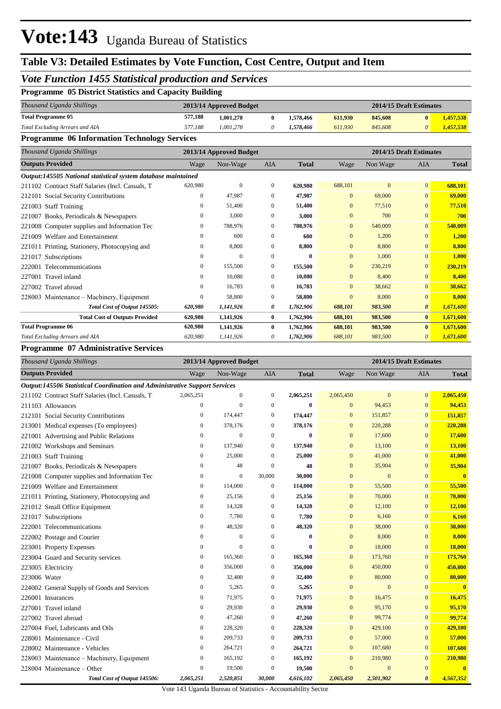## **Table V3: Detailed Estimates by Vote Function, Cost Centre, Output and Item**

## *Vote Function 1455 Statistical production and Services*

|  |  |  | <b>Programme 05 District Statistics and Capacity Building</b> |  |  |
|--|--|--|---------------------------------------------------------------|--|--|
|--|--|--|---------------------------------------------------------------|--|--|

| Thousand Uganda Shillings       | 2013/14 Approved Budget |           |  |           |         | 2014/15 Draft Estimates |              |           |  |
|---------------------------------|-------------------------|-----------|--|-----------|---------|-------------------------|--------------|-----------|--|
| <b>Total Programme 05</b>       | 577.188                 | 1.001.278 |  | 1.578.466 | 611.930 | 845,608                 | $\mathbf{0}$ | 1.457.538 |  |
| Total Excluding Arrears and AIA | 577.188                 | 1.001.278 |  | 1.578.466 | 611.930 | 845,608                 | 0            | 1,457,538 |  |

#### **Programme 06 Information Technology Services**

| Thousand Uganda Shillings                                     |              | 2013/14 Approved Budget |              |              |                | 2014/15 Draft Estimates |                       |              |
|---------------------------------------------------------------|--------------|-------------------------|--------------|--------------|----------------|-------------------------|-----------------------|--------------|
| <b>Outputs Provided</b>                                       | Wage         | Non-Wage                | <b>AIA</b>   | <b>Total</b> | Wage           | Non Wage                | AIA                   | <b>Total</b> |
| Output:145505 National statistical system database maintained |              |                         |              |              |                |                         |                       |              |
| 211102 Contract Staff Salaries (Incl. Casuals, T              | 620,980      | $\mathbf{0}$            | $\mathbf{0}$ | 620,980      | 688,101        | $\Omega$                | $\overline{0}$        | 688,101      |
| 212101 Social Security Contributions                          | $\mathbf{0}$ | 47,987                  | $\Omega$     | 47,987       | $\overline{0}$ | 69,000                  | $\mathbf{0}$          | 69,000       |
| 221003 Staff Training                                         | $\Omega$     | 51,400                  | $\mathbf{0}$ | 51,400       | $\mathbf{0}$   | 77,510                  | $\mathbf{0}$          | 77,510       |
| Books, Periodicals & Newspapers<br>221007                     | 0            | 3.000                   | $\mathbf{0}$ | 3,000        | $\overline{0}$ | 700                     | $\mathbf{0}$          | 700          |
| Computer supplies and Information Tec<br>221008               | $\Omega$     | 788,976                 | $\Omega$     | 788,976      | $\mathbf{0}$   | 540,009                 | $\mathbf{0}$          | 540,009      |
| Welfare and Entertainment<br>221009                           | $\Omega$     | 600                     | $\Omega$     | 600          | $\overline{0}$ | 1,200                   | $\Omega$              | 1,200        |
| 221011 Printing, Stationery, Photocopying and                 | $\mathbf{0}$ | 8,800                   | $\mathbf{0}$ | 8,800        | $\overline{0}$ | 8,800                   | $\Omega$              | 8,800        |
| Subscriptions<br>221017                                       | $\Omega$     | $\mathbf{0}$            | $\mathbf{0}$ | $\mathbf{0}$ | $\overline{0}$ | 1,000                   | $\mathbf{0}$          | 1,000        |
| 222001<br>Telecommunications                                  | $\mathbf{0}$ | 155,500                 | $\mathbf{0}$ | 155,500      | $\overline{0}$ | 230,219                 | $\overline{0}$        | 230,219      |
| 227001<br>Travel inland                                       | $\mathbf{0}$ | 10,080                  | $\Omega$     | 10,080       | $\mathbf{0}$   | 8,400                   | $\Omega$              | 8,400        |
| 227002 Travel abroad                                          | $\mathbf{0}$ | 16,783                  | $\mathbf{0}$ | 16,783       | $\overline{0}$ | 38,662                  | $\mathbf{0}$          | 38,662       |
| 228003 Maintenance – Machinery, Equipment                     | $\Omega$     | 58,800                  | $\Omega$     | 58,800       | $\overline{0}$ | 8,000                   | $\mathbf{0}$          | 8.000        |
| Total Cost of Output 145505:                                  | 620,980      | 1,141,926               | 0            | 1,762,906    | 688,101        | 983,500                 | $\boldsymbol{\theta}$ | 1,671,600    |
| <b>Total Cost of Outputs Provided</b>                         | 620,980      | 1,141,926               | $\bf{0}$     | 1,762,906    | 688,101        | 983,500                 | $\mathbf{0}$          | 1,671,600    |
| <b>Total Programme 06</b>                                     | 620,980      | 1,141,926               | $\bf{0}$     | 1,762,906    | 688,101        | 983,500                 | $\bf{0}$              | 1,671,600    |
| Total Excluding Arrears and AIA                               | 620,980      | 1,141,926               | 0            | 1,762,906    | 688,101        | 983,500                 | 0                     | 1,671,600    |

#### **Programme 07 Administrative Services**

|                         | 2013/14 Approved Budget<br>2014/15 Draft Estimates<br>Thousand Uganda Shillings |                  |                |                  |              |                |                |                       |                |
|-------------------------|---------------------------------------------------------------------------------|------------------|----------------|------------------|--------------|----------------|----------------|-----------------------|----------------|
| <b>Outputs Provided</b> |                                                                                 | Wage             | Non-Wage       | <b>AIA</b>       | <b>Total</b> | Wage           | Non Wage       | <b>AIA</b>            | <b>Total</b>   |
|                         | Output:145506 Statistical Coordination and Administrative Support Services      |                  |                |                  |              |                |                |                       |                |
|                         | 211102 Contract Staff Salaries (Incl. Casuals, T                                | 2,065,251        | $\overline{0}$ | $\mathbf{0}$     | 2,065,251    | 2,065,450      | $\overline{0}$ | $\Omega$              | 2.065,450      |
|                         | 211103 Allowances                                                               | $\overline{0}$   | $\overline{0}$ | $\mathbf{0}$     | $\bf{0}$     | $\overline{0}$ | 94,453         | $\mathbf{0}$          | 94,453         |
|                         | 212101 Social Security Contributions                                            | $\boldsymbol{0}$ | 174,447        | $\mathbf{0}$     | 174,447      | $\mathbf{0}$   | 151,857        | $\mathbf{0}$          | 151,857        |
|                         | 213001 Medical expenses (To employees)                                          | $\boldsymbol{0}$ | 378,176        | $\mathbf{0}$     | 378,176      | $\mathbf{0}$   | 220,288        | $\mathbf{0}$          | 220,288        |
|                         | 221001 Advertising and Public Relations                                         | $\mathbf{0}$     | $\overline{0}$ | $\mathbf{0}$     | $\bf{0}$     | $\overline{0}$ | 17,600         | $\mathbf{0}$          | 17,600         |
|                         | 221002 Workshops and Seminars                                                   | $\boldsymbol{0}$ | 137,940        | $\mathbf{0}$     | 137,940      | $\bf{0}$       | 13,100         | $\mathbf{0}$          | 13,100         |
|                         | 221003 Staff Training                                                           | $\boldsymbol{0}$ | 25,000         | $\mathbf{0}$     | 25,000       | $\overline{0}$ | 41,000         | $\overline{0}$        | 41,000         |
|                         | 221007 Books, Periodicals & Newspapers                                          | $\mathbf{0}$     | 48             | $\Omega$         | 48           | $\overline{0}$ | 35,904         | $\overline{0}$        | 35,904         |
|                         | 221008 Computer supplies and Information Tec                                    | $\mathbf{0}$     | $\mathbf{0}$   | 30,000           | 30,000       | $\overline{0}$ | $\mathbf{0}$   | $\overline{0}$        | $\overline{0}$ |
|                         | 221009 Welfare and Entertainment                                                | $\boldsymbol{0}$ | 114,000        | $\mathbf{0}$     | 114,000      | $\mathbf{0}$   | 55,500         | $\mathbf{0}$          | 55,500         |
|                         | 221011 Printing, Stationery, Photocopying and                                   | $\boldsymbol{0}$ | 25,156         | $\mathbf{0}$     | 25,156       | $\bf{0}$       | 70,000         | $\mathbf{0}$          | 70,000         |
|                         | 221012 Small Office Equipment                                                   | $\mathbf{0}$     | 14,328         | $\mathbf{0}$     | 14,328       | $\overline{0}$ | 12,100         | $\mathbf{0}$          | 12,100         |
|                         | 221017 Subscriptions                                                            | $\boldsymbol{0}$ | 7,780          | $\mathbf{0}$     | 7,780        | $\bf{0}$       | 6,160          | $\mathbf{0}$          | 6,160          |
|                         | 222001 Telecommunications                                                       | $\boldsymbol{0}$ | 48,320         | $\mathbf{0}$     | 48,320       | $\mathbf{0}$   | 38,000         | $\overline{0}$        | 38,000         |
|                         | 222002 Postage and Courier                                                      | $\mathbf{0}$     | $\theta$       | $\Omega$         | $\bf{0}$     | $\overline{0}$ | 8,000          | $\Omega$              | 8,000          |
|                         | 223001 Property Expenses                                                        | $\boldsymbol{0}$ | $\overline{0}$ | $\mathbf{0}$     | $\bf{0}$     | $\mathbf{0}$   | 18,000         | $\mathbf{0}$          | 18,000         |
|                         | 223004 Guard and Security services                                              | $\boldsymbol{0}$ | 165,360        | $\mathbf{0}$     | 165,360      | $\overline{0}$ | 173,760        | $\mathbf{0}$          | 173,760        |
| 223005 Electricity      |                                                                                 | $\mathbf{0}$     | 356,000        | $\mathbf{0}$     | 356,000      | $\mathbf{0}$   | 450,000        | $\mathbf{0}$          | 450,000        |
| 223006 Water            |                                                                                 | $\mathbf{0}$     | 32,400         | $\mathbf{0}$     | 32,400       | $\overline{0}$ | 80,000         | $\overline{0}$        | 80,000         |
|                         | 224002 General Supply of Goods and Services                                     | $\boldsymbol{0}$ | 5,265          | $\boldsymbol{0}$ | 5,265        | $\mathbf{0}$   | $\mathbf{0}$   | $\mathbf{0}$          | $\mathbf{0}$   |
| 226001 Insurances       |                                                                                 | $\boldsymbol{0}$ | 71,975         | $\mathbf{0}$     | 71,975       | $\mathbf{0}$   | 16,475         | $\mathbf{0}$          | 16,475         |
|                         | 227001 Travel inland                                                            | $\mathbf{0}$     | 29,930         | $\overline{0}$   | 29,930       | $\overline{0}$ | 95,170         | $\mathbf{0}$          | 95,170         |
|                         | 227002 Travel abroad                                                            | $\mathbf{0}$     | 47,260         | $\mathbf{0}$     | 47,260       | $\overline{0}$ | 99,774         | $\overline{0}$        | 99,774         |
|                         | 227004 Fuel, Lubricants and Oils                                                | $\boldsymbol{0}$ | 228,320        | 0                | 228,320      | $\bf{0}$       | 429,100        | $\mathbf{0}$          | 429,100        |
|                         | 228001 Maintenance - Civil                                                      | $\mathbf{0}$     | 209,733        | $\mathbf{0}$     | 209,733      | $\overline{0}$ | 57,000         | $\mathbf{0}$          | 57,000         |
|                         | 228002 Maintenance - Vehicles                                                   | $\mathbf{0}$     | 264,721        | $\mathbf{0}$     | 264,721      | $\overline{0}$ | 107,680        | $\overline{0}$        | 107,680        |
|                         | 228003 Maintenance - Machinery, Equipment                                       | $\boldsymbol{0}$ | 165,192        | $\mathbf{0}$     | 165,192      | $\mathbf{0}$   | 210,980        | $\mathbf{0}$          | 210,980        |
|                         | 228004 Maintenance - Other                                                      | $\mathbf{0}$     | 19,500         | $\mathbf{0}$     | 19,500       | $\overline{0}$ | $\overline{0}$ | $\mathbf{0}$          | $\mathbf{0}$   |
|                         | Total Cost of Output 145506:                                                    | 2,065,251        | 2,520,851      | 30,000           | 4,616,102    | 2.065,450      | 2,501,902      | $\boldsymbol{\theta}$ | 4,567,352      |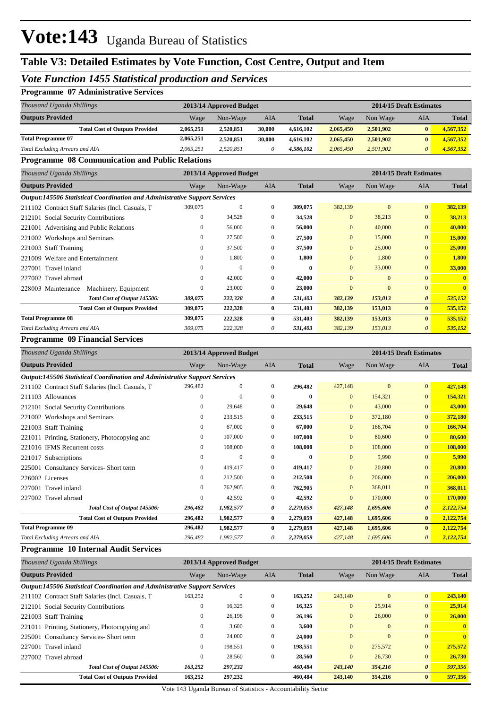## **Table V3: Detailed Estimates by Vote Function, Cost Centre, Output and Item**

## *Vote Function 1455 Statistical production and Services*

### **Programme 07 Administrative Services**

| Thousand Uganda Shillings             |           | 2013/14 Approved Budget |        |              |           |           | 2014/15 Draft Estimates |              |  |
|---------------------------------------|-----------|-------------------------|--------|--------------|-----------|-----------|-------------------------|--------------|--|
| <b>Outputs Provided</b>               | Wage      | Non-Wage                | AIA    | <b>Total</b> | Wage      | Non Wage  | AIA                     | <b>Total</b> |  |
| <b>Total Cost of Outputs Provided</b> | 2,065,251 | 2,520,851               | 30.000 | 4.616.102    | 2.065.450 | 2,501,902 |                         | 4,567,352    |  |
| <b>Total Programme 07</b>             | 2,065,251 | 2,520,851               | 30.000 | 4.616.102    | 2.065.450 | 2,501,902 | 0                       | 4,567,352    |  |
| Total Excluding Arrears and AIA       | 2.065.251 | 2.520.851               |        | 4.586.102    | 2.065,450 | 2.501.902 |                         | 4,567,352    |  |

#### **Programme 08 Communication and Public Relations**

| Wage         | Non-Wage     | AIA                                                                               | <b>Total</b>            | Wage           | Non Wage       | AIA            | <b>Total</b>            |
|--------------|--------------|-----------------------------------------------------------------------------------|-------------------------|----------------|----------------|----------------|-------------------------|
|              |              |                                                                                   |                         |                |                |                |                         |
| 309,075      | $\mathbf{0}$ | $\mathbf{0}$                                                                      | 309,075                 | 382,139        | $\mathbf{0}$   | $\mathbf{0}$   | 382,139                 |
| $\mathbf{0}$ | 34,528       | $\mathbf{0}$                                                                      | 34,528                  | $\overline{0}$ | 38,213         | $\overline{0}$ | 38,213                  |
| $\Omega$     | 56,000       | $\mathbf{0}$                                                                      | 56,000                  | $\overline{0}$ | 40,000         | $\mathbf{0}$   | 40,000                  |
| 0            | 27,500       | $\mathbf{0}$                                                                      | 27,500                  | $\overline{0}$ | 15,000         | $\mathbf{0}$   | 15,000                  |
| 0            | 37,500       | $\Omega$                                                                          | 37,500                  | $\overline{0}$ | 25,000         | $\overline{0}$ | 25,000                  |
| $\Omega$     | 1,800        | $\Omega$                                                                          | 1,800                   | $\overline{0}$ | 1,800          | $\overline{0}$ | 1,800                   |
| $\Omega$     | $\mathbf{0}$ | $\Omega$                                                                          | $\bf{0}$                | $\overline{0}$ | 33,000         | $\overline{0}$ | 33,000                  |
| $\mathbf{0}$ | 42,000       | $\mathbf{0}$                                                                      | 42,000                  | $\overline{0}$ | $\mathbf{0}$   | $\mathbf{0}$   |                         |
| 0            | 23,000       | $\mathbf{0}$                                                                      | 23,000                  | $\mathbf{0}$   | $\overline{0}$ | $\Omega$       |                         |
| 309,075      | 222,328      | 0                                                                                 | 531,403                 | 382,139        | 153,013        | $\theta$       | 535,152                 |
| 309,075      | 222,328      | $\bf{0}$                                                                          | 531,403                 | 382,139        | 153,013        | $\bf{0}$       | 535,152                 |
| 309,075      | 222,328      | $\mathbf{0}$                                                                      | 531,403                 | 382,139        | 153,013        | $\bf{0}$       | 535,152                 |
| 309,075      | 222,328      | 0                                                                                 | 531,403                 | 382,139        | 153,013        | $\theta$       | 535,152                 |
|              |              | <b>Output:145506 Statistical Coordination and Administrative Support Services</b> | 2013/14 Approved Budget |                |                |                | 2014/15 Draft Estimates |

#### **Programme 09 Financial Services**

| Thousand Uganda Shillings                                                         |              | 2013/14 Approved Budget |                |              |                | 2014/15 Draft Estimates |                |              |  |
|-----------------------------------------------------------------------------------|--------------|-------------------------|----------------|--------------|----------------|-------------------------|----------------|--------------|--|
| <b>Outputs Provided</b>                                                           | Wage         | Non-Wage                | <b>AIA</b>     | <b>Total</b> | Wage           | Non Wage                | <b>AIA</b>     | <b>Total</b> |  |
| <b>Output:145506 Statistical Coordination and Administrative Support Services</b> |              |                         |                |              |                |                         |                |              |  |
| 211102 Contract Staff Salaries (Incl. Casuals, T.                                 | 296,482      | 0                       | $\mathbf{0}$   | 296,482      | 427,148        | $\mathbf{0}$            | $\overline{0}$ | 427,148      |  |
| 211103 Allowances                                                                 | $\mathbf{0}$ | $\Omega$                | $\mathbf{0}$   | $\bf{0}$     | $\overline{0}$ | 154,321                 | $\overline{0}$ | 154,321      |  |
| 212101 Social Security Contributions                                              | $\mathbf{0}$ | 29.648                  | $\Omega$       | 29,648       | $\Omega$       | 43,000                  | $\overline{0}$ | 43,000       |  |
| 221002 Workshops and Seminars                                                     | $\mathbf{0}$ | 233,515                 | $\overline{0}$ | 233,515      | $\overline{0}$ | 372,180                 | $\overline{0}$ | 372,180      |  |
| 221003 Staff Training                                                             | $\mathbf{0}$ | 67,000                  | $\overline{0}$ | 67,000       | $\overline{0}$ | 166,704                 | $\overline{0}$ | 166,704      |  |
| 221011 Printing, Stationery, Photocopying and                                     | $\mathbf{0}$ | 107,000                 | $\overline{0}$ | 107,000      | $\overline{0}$ | 80,600                  | $\overline{0}$ | 80,600       |  |
| 221016 IFMS Recurrent costs                                                       | $\Omega$     | 108,000                 | $\mathbf{0}$   | 108,000      | $\overline{0}$ | 108,000                 | $\overline{0}$ | 108,000      |  |
| 221017 Subscriptions                                                              | $\Omega$     | $\Omega$                | $\Omega$       | $\bf{0}$     | $\overline{0}$ | 5,990                   | $\overline{0}$ | 5,990        |  |
| 225001 Consultancy Services-Short term                                            | $\mathbf{0}$ | 419,417                 | $\overline{0}$ | 419,417      | $\overline{0}$ | 20,800                  | $\overline{0}$ | 20,800       |  |
| 226002 Licenses                                                                   | $\mathbf{0}$ | 212,500                 | $\mathbf{0}$   | 212,500      | $\overline{0}$ | 206,000                 | $\overline{0}$ | 206,000      |  |
| 227001 Travel inland                                                              | $\mathbf{0}$ | 762,905                 | $\mathbf{0}$   | 762,905      | $\overline{0}$ | 368,011                 | $\overline{0}$ | 368,011      |  |
| 227002 Travel abroad                                                              | $\mathbf{0}$ | 42,592                  | $\overline{0}$ | 42,592       | $\overline{0}$ | 170,000                 | $\overline{0}$ | 170,000      |  |
| Total Cost of Output 145506:                                                      | 296,482      | 1,982,577               | 0              | 2,279,059    | 427,148        | 1,695,606               | $\theta$       | 2,122,754    |  |
| <b>Total Cost of Outputs Provided</b>                                             | 296,482      | 1,982,577               | $\bf{0}$       | 2,279,059    | 427,148        | 1,695,606               | $\mathbf{0}$   | 2,122,754    |  |
| <b>Total Programme 09</b>                                                         | 296,482      | 1,982,577               | $\bf{0}$       | 2,279,059    | 427,148        | 1,695,606               | $\bf{0}$       | 2,122,754    |  |
| <b>Total Excluding Arrears and AIA</b>                                            | 296,482      | 1,982,577               | 0              | 2,279,059    | 427,148        | 1,695,606               | $\theta$       | 2,122,754    |  |

#### **Programme 10 Internal Audit Services**

| Thousand Uganda Shillings                                                         |                | 2013/14 Approved Budget |              |              | 2014/15 Draft Estimates |              |                       |              |
|-----------------------------------------------------------------------------------|----------------|-------------------------|--------------|--------------|-------------------------|--------------|-----------------------|--------------|
| <b>Outputs Provided</b>                                                           | Wage           | Non-Wage                | <b>AIA</b>   | <b>Total</b> | Wage                    | Non Wage     | <b>AIA</b>            | <b>Total</b> |
| <b>Output:145506 Statistical Coordination and Administrative Support Services</b> |                |                         |              |              |                         |              |                       |              |
| 211102 Contract Staff Salaries (Incl. Casuals, T.                                 | 163,252        | $\Omega$                | $\mathbf{0}$ | 163,252      | 243,140                 | $\theta$     | $\mathbf{0}$          | 243,140      |
| 212101 Social Security Contributions                                              | $\overline{0}$ | 16,325                  | $\mathbf{0}$ | 16,325       | $\mathbf{0}$            | 25,914       | $\mathbf{0}$          | 25.914       |
| 221003 Staff Training                                                             | $\mathbf{0}$   | 26,196                  | $\mathbf{0}$ | 26,196       | $\mathbf{0}$            | 26,000       | $\mathbf{0}$          | 26,000       |
| 221011 Printing, Stationery, Photocopying and                                     | $\overline{0}$ | 3,600                   | $\mathbf{0}$ | 3.600        | $\mathbf{0}$            | $\mathbf{0}$ | $\mathbf{0}$          | $\mathbf{0}$ |
| 225001 Consultancy Services- Short term                                           | $\mathbf{0}$   | 24,000                  | $\mathbf{0}$ | 24,000       | $\mathbf{0}$            | $\mathbf{0}$ | $\mathbf{0}$          | $\mathbf{0}$ |
| 227001 Travel inland                                                              | $\overline{0}$ | 198,551                 | $\mathbf{0}$ | 198.551      | $\overline{0}$          | 275,572      | $\mathbf{0}$          | 275,572      |
| 227002 Travel abroad                                                              | $\mathbf{0}$   | 28,560                  | $\mathbf{0}$ | 28,560       | $\mathbf{0}$            | 26,730       | $\mathbf{0}$          | 26,730       |
| Total Cost of Output 145506:                                                      | 163,252        | 297,232                 |              | 460,484      | 243,140                 | 354,216      | $\boldsymbol{\theta}$ | 597,356      |
| <b>Total Cost of Outputs Provided</b>                                             | 163,252        | 297,232                 |              | 460.484      | 243,140                 | 354,216      | $\bf{0}$              | 597,356      |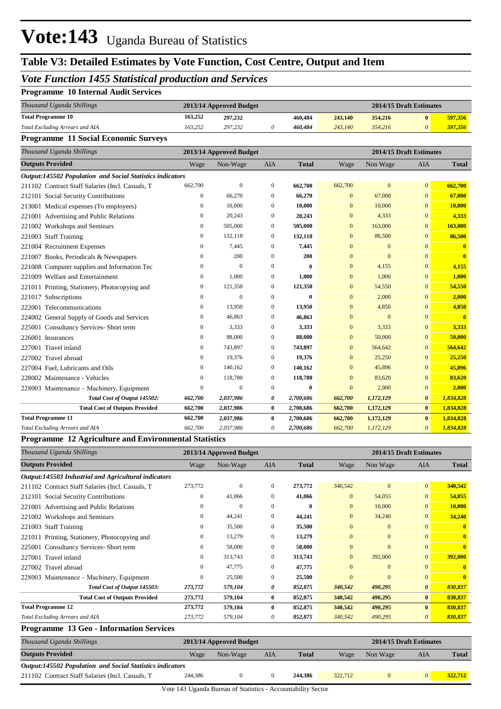## **Table V3: Detailed Estimates by Vote Function, Cost Centre, Output and Item**

## *Vote Function 1455 Statistical production and Services*

### **Programme 10 Internal Audit Services**

| Thousand Uganda Shillings       | 2013/14 Approved Budget |         |  |         |         | 2014/15 Draft Estimates |  |         |
|---------------------------------|-------------------------|---------|--|---------|---------|-------------------------|--|---------|
| <b>Total Programme 10</b>       | 163,252                 | 297,232 |  | 460,484 | 243,140 | 354,216                 |  | 597.356 |
| Total Excluding Arrears and AIA | 163.252                 | 297.232 |  | 460.484 | 243,140 | 354,216                 |  | 597.356 |

#### **Programme 11 Social Economic Surveys**

| Thousand Uganda Shillings                                        |              | 2013/14 Approved Budget |              |              |                | 2014/15 Draft Estimates |                       |              |
|------------------------------------------------------------------|--------------|-------------------------|--------------|--------------|----------------|-------------------------|-----------------------|--------------|
| <b>Outputs Provided</b>                                          | Wage         | Non-Wage                | <b>AIA</b>   | <b>Total</b> | Wage           | Non Wage                | <b>AIA</b>            | <b>Total</b> |
| <b>Output:145502 Population and Social Statistics indicators</b> |              |                         |              |              |                |                         |                       |              |
| 211102 Contract Staff Salaries (Incl. Casuals, T                 | 662,700      | $\mathbf{0}$            | $\mathbf{0}$ | 662,700      | 662,700        | $\mathbf{0}$            | $\overline{0}$        | 662,700      |
| 212101 Social Security Contributions                             | $\mathbf{0}$ | 66,270                  | $\mathbf{0}$ | 66,270       | $\Omega$       | 67,000                  | $\mathbf{0}$          | 67,000       |
| 213001 Medical expenses (To employees)                           | $\mathbf{0}$ | 10,000                  | $\mathbf{0}$ | 10,000       | $\mathbf{0}$   | 10,000                  | $\mathbf{0}$          | 10,000       |
| 221001 Advertising and Public Relations                          | $\mathbf{0}$ | 20,243                  | $\mathbf{0}$ | 20,243       | $\overline{0}$ | 4,333                   | $\mathbf{0}$          | 4,333        |
| 221002 Workshops and Seminars                                    | $\mathbf{0}$ | 505,000                 | $\mathbf{0}$ | 505,000      | $\mathbf{0}$   | 163,000                 | $\overline{0}$        | 163,000      |
| 221003 Staff Training                                            | $\mathbf{0}$ | 132,118                 | $\mathbf{0}$ | 132,118      | $\overline{0}$ | 86,500                  | $\overline{0}$        | 86,500       |
| 221004 Recruitment Expenses                                      | $\mathbf{0}$ | 7,445                   | $\mathbf{0}$ | 7,445        | $\overline{0}$ | $\mathbf{0}$            | $\overline{0}$        | $\mathbf{0}$ |
| 221007 Books, Periodicals & Newspapers                           | $\mathbf{0}$ | 200                     | $\mathbf{0}$ | 200          | $\mathbf{0}$   | $\mathbf{0}$            | $\overline{0}$        | $\mathbf{0}$ |
| 221008 Computer supplies and Information Tec                     | $\Omega$     | $\Omega$                | $\Omega$     | 0            | $\overline{0}$ | 4,155                   | $\overline{0}$        | 4,155        |
| 221009 Welfare and Entertainment                                 | $\mathbf{0}$ | 1,000                   | $\mathbf{0}$ | 1,000        | $\overline{0}$ | 1,000                   | $\mathbf{0}$          | 1,000        |
| 221011 Printing, Stationery, Photocopying and                    | $\mathbf{0}$ | 121,350                 | $\mathbf{0}$ | 121,350      | $\overline{0}$ | 54,550                  | $\overline{0}$        | 54,550       |
| 221017 Subscriptions                                             | $\mathbf{0}$ | $\mathbf{0}$            | $\mathbf{0}$ | $\bf{0}$     | $\mathbf{0}$   | 2,000                   | $\overline{0}$        | 2,000        |
| 222001 Telecommunications                                        | $\mathbf{0}$ | 13,950                  | $\mathbf{0}$ | 13,950       | $\overline{0}$ | 4,850                   | $\overline{0}$        | 4,850        |
| 224002 General Supply of Goods and Services                      | $\mathbf{0}$ | 46,863                  | $\mathbf{0}$ | 46,863       | $\overline{0}$ | $\mathbf{0}$            | $\overline{0}$        | $\mathbf{0}$ |
| 225001 Consultancy Services- Short term                          | $\mathbf{0}$ | 3,333                   | $\mathbf{0}$ | 3,333        | $\mathbf{0}$   | 3,333                   | $\overline{0}$        | 3,333        |
| 226001 Insurances                                                | $\Omega$     | 88,000                  | $\Omega$     | 88,000       | $\overline{0}$ | 50,000                  | $\overline{0}$        | 50,000       |
| 227001 Travel inland                                             | $\mathbf{0}$ | 743,897                 | $\mathbf{0}$ | 743,897      | $\mathbf{0}$   | 564,642                 | $\mathbf{0}$          | 564,642      |
| 227002 Travel abroad                                             | $\mathbf{0}$ | 19,376                  | $\mathbf{0}$ | 19,376       | $\mathbf{0}$   | 25,250                  | $\overline{0}$        | 25,250       |
| 227004 Fuel, Lubricants and Oils                                 | $\Omega$     | 140,162                 | $\Omega$     | 140,162      | $\Omega$       | 45,896                  | $\overline{0}$        | 45,896       |
| 228002 Maintenance - Vehicles                                    | $\mathbf{0}$ | 118,780                 | $\mathbf{0}$ | 118,780      | $\overline{0}$ | 83,620                  | $\overline{0}$        | 83,620       |
| 228003 Maintenance – Machinery, Equipment                        | $\mathbf{0}$ | $\mathbf{0}$            | $\mathbf{0}$ | $\bf{0}$     | $\overline{0}$ | 2,000                   | $\mathbf{0}$          | 2,000        |
| Total Cost of Output 145502:                                     | 662,700      | 2,037,986               | 0            | 2,700,686    | 662,700        | 1,172,129               | $\boldsymbol{\theta}$ | 1,834,828    |
| <b>Total Cost of Outputs Provided</b>                            | 662,700      | 2,037,986               | $\bf{0}$     | 2,700,686    | 662,700        | 1,172,129               | $\bf{0}$              | 1,834,828    |
| <b>Total Programme 11</b>                                        | 662,700      | 2,037,986               | $\bf{0}$     | 2,700,686    | 662,700        | 1,172,129               | $\bf{0}$              | 1,834,828    |
| Total Excluding Arrears and AIA                                  | 662,700      | 2,037,986               | 0            | 2,700,686    | 662,700        | 1,172,129               | $\boldsymbol{\theta}$ | 1,834,828    |

#### **Programme 12 Agriculture and Environmental Statistics**

| Thousand Uganda Shillings                            |          | 2013/14 Approved Budget |                |              |                | 2014/15 Draft Estimates |                       |              |  |
|------------------------------------------------------|----------|-------------------------|----------------|--------------|----------------|-------------------------|-----------------------|--------------|--|
| <b>Outputs Provided</b>                              | Wage     | Non-Wage                | AIA            | <b>Total</b> | Wage           | Non Wage                | AIA                   | <b>Total</b> |  |
| Output:145503 Industrial and Agricultural indicators |          |                         |                |              |                |                         |                       |              |  |
| 211102 Contract Staff Salaries (Incl. Casuals, T     | 273,772  | $\mathbf{0}$            | $\mathbf{0}$   | 273,772      | 340,542        | $\mathbf{0}$            | $\mathbf{0}$          | 340,542      |  |
| 212101 Social Security Contributions                 | $\Omega$ | 41,066                  | $\Omega$       | 41,066       | $\overline{0}$ | 54,055                  | $\overline{0}$        | 54,055       |  |
| 221001 Advertising and Public Relations              | 0        | $\mathbf{0}$            | $\Omega$       | 0            | $\overline{0}$ | 10,000                  | $\overline{0}$        | 10,000       |  |
| 221002 Workshops and Seminars                        | 0        | 44,241                  | $\mathbf{0}$   | 44,241       | $\overline{0}$ | 34,240                  | $\Omega$              | 34,240       |  |
| 221003 Staff Training                                | 0        | 35,500                  | $\mathbf{0}$   | 35,500       | $\overline{0}$ | $\mathbf{0}$            | $\Omega$              | $\mathbf{0}$ |  |
| 221011 Printing, Stationery, Photocopying and        | 0        | 13,279                  | $\mathbf{0}$   | 13,279       | $\overline{0}$ | $\mathbf{0}$            | $\Omega$              | $\mathbf{0}$ |  |
| 225001 Consultancy Services-Short term               | 0        | 58,000                  | $\mathbf{0}$   | 58,000       | $\overline{0}$ | $\mathbf{0}$            | $\overline{0}$        | $\mathbf{0}$ |  |
| 227001 Travel inland                                 | 0        | 313,743                 | $\mathbf{0}$   | 313,743      | $\overline{0}$ | 392,000                 | $\overline{0}$        | 392,000      |  |
| 227002 Travel abroad                                 | $\Omega$ | 47,775                  | $\overline{0}$ | 47,775       | $\Omega$       | $\mathbf{0}$            | $\Omega$              | $\mathbf{0}$ |  |
| 228003 Maintenance – Machinery, Equipment            | $\Omega$ | 25,500                  | $\Omega$       | 25,500       | $\overline{0}$ | $\mathbf{0}$            | $\overline{0}$        | $\mathbf{0}$ |  |
| Total Cost of Output 145503:                         | 273,772  | 579,104                 | 0              | 852,875      | 340,542        | 490,295                 | $\boldsymbol{\theta}$ | 830,837      |  |
| <b>Total Cost of Outputs Provided</b>                | 273,772  | 579,104                 | $\bf{0}$       | 852,875      | 340,542        | 490,295                 | $\bf{0}$              | 830,837      |  |
| <b>Total Programme 12</b>                            | 273,772  | 579,104                 | $\bf{0}$       | 852,875      | 340,542        | 490,295                 | $\mathbf{0}$          | 830,837      |  |
| <b>Total Excluding Arrears and AIA</b>               | 273,772  | 579,104                 | 0              | 852,875      | 340,542        | 490,295                 | 0                     | 830,837      |  |

### **Programme 13 Geo - Information Services**

| Thousand Uganda Shillings                                        |         | 2013/14 Approved Budget |     |              |         | 2014/15 Draft Estimates |     |              |  |
|------------------------------------------------------------------|---------|-------------------------|-----|--------------|---------|-------------------------|-----|--------------|--|
| <b>Outputs Provided</b>                                          | Wage    | Non-Wage                | AIA | <b>Total</b> | Wage    | Non Wage                | AIA | <b>Total</b> |  |
| <b>Output:145502 Population and Social Statistics indicators</b> |         |                         |     |              |         |                         |     |              |  |
| 211102 Contract Staff Salaries (Incl. Casuals, T.                | 244,386 |                         |     | 244.386      | 322,712 |                         |     | 322.712      |  |